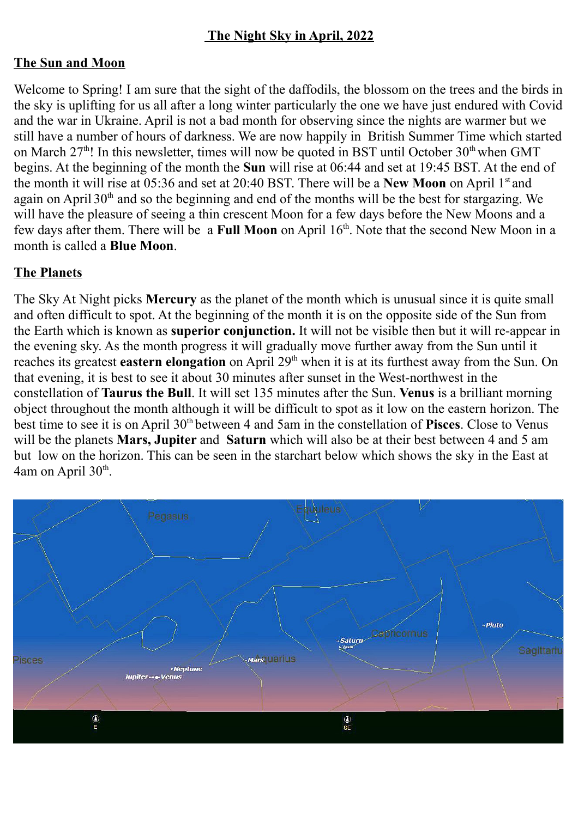# **The Night Sky in April, 2022**

### **The Sun and Moon**

Welcome to Spring! I am sure that the sight of the daffodils, the blossom on the trees and the birds in the sky is uplifting for us all after a long winter particularly the one we have just endured with Covid and the war in Ukraine. April is not a bad month for observing since the nights are warmer but we still have a number of hours of darkness. We are now happily in British Summer Time which started on March  $27<sup>th</sup>$ ! In this newsletter, times will now be quoted in BST until October  $30<sup>th</sup>$  when GMT begins. At the beginning of the month the **Sun** will rise at 06:44 and set at 19:45 BST. At the end of the month it will rise at 05:36 and set at 20:40 BST. There will be a **New Moon** on April 1st and again on April  $30<sup>th</sup>$  and so the beginning and end of the months will be the best for stargazing. We will have the pleasure of seeing a thin crescent Moon for a few days before the New Moons and a few days after them. There will be a **Full Moon** on April 16<sup>th</sup>. Note that the second New Moon in a month is called a **Blue Moon**.

### **The Planets**

The Sky At Night picks **Mercury** as the planet of the month which is unusual since it is quite small and often difficult to spot. At the beginning of the month it is on the opposite side of the Sun from the Earth which is known as **superior conjunction.** It will not be visible then but it will re-appear in the evening sky. As the month progress it will gradually move further away from the Sun until it reaches its greatest **eastern elongation** on April 29<sup>th</sup> when it is at its furthest away from the Sun. On that evening, it is best to see it about 30 minutes after sunset in the West-northwest in the constellation of **Taurus the Bull**. It will set 135 minutes after the Sun. **Venus** is a brilliant morning object throughout the month although it will be difficult to spot as it low on the eastern horizon. The best time to see it is on April 30<sup>th</sup> between 4 and 5am in the constellation of **Pisces**. Close to Venus will be the planets **Mars, Jupiter** and **Saturn** which will also be at their best between 4 and 5 am but low on the horizon. This can be seen in the starchart below which shows the sky in the East at  $4$ am on April  $30<sup>th</sup>$ .

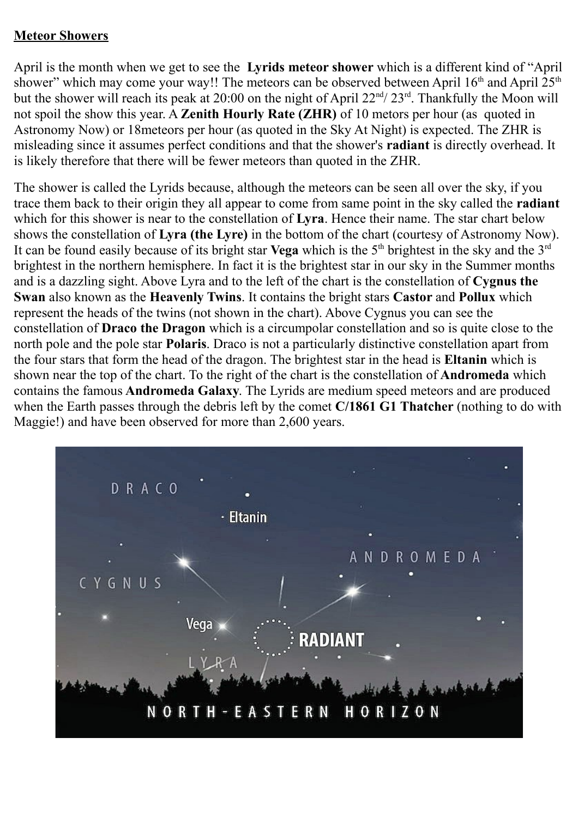#### **Meteor Showers**

April is the month when we get to see the **Lyrids meteor shower** which is a different kind of "April shower" which may come your way!! The meteors can be observed between April  $16<sup>th</sup>$  and April  $25<sup>th</sup>$ but the shower will reach its peak at 20:00 on the night of April  $22<sup>nd</sup>/ 23<sup>rd</sup>$ . Thankfully the Moon will not spoil the show this year. A **Zenith Hourly Rate (ZHR)** of 10 metors per hour (as quoted in Astronomy Now) or 18meteors per hour (as quoted in the Sky At Night) is expected. The ZHR is misleading since it assumes perfect conditions and that the shower's **radiant** is directly overhead. It is likely therefore that there will be fewer meteors than quoted in the ZHR.

The shower is called the Lyrids because, although the meteors can be seen all over the sky, if you trace them back to their origin they all appear to come from same point in the sky called the **radiant** which for this shower is near to the constellation of **Lyra**. Hence their name. The star chart below shows the constellation of **Lyra (the Lyre)** in the bottom of the chart (courtesy of Astronomy Now). It can be found easily because of its bright star **Vega** which is the  $5<sup>th</sup>$  brightest in the sky and the  $3<sup>rd</sup>$ brightest in the northern hemisphere. In fact it is the brightest star in our sky in the Summer months and is a dazzling sight. Above Lyra and to the left of the chart is the constellation of **Cygnus the Swan** also known as the **Heavenly Twins**. It contains the bright stars **Castor** and **Pollux** which represent the heads of the twins (not shown in the chart). Above Cygnus you can see the constellation of **Draco the Dragon** which is a circumpolar constellation and so is quite close to the north pole and the pole star **Polaris**. Draco is not a particularly distinctive constellation apart from the four stars that form the head of the dragon. The brightest star in the head is **Eltanin** which is shown near the top of the chart. To the right of the chart is the constellation of **Andromeda** which contains the famous **Andromeda Galaxy**. The Lyrids are medium speed meteors and are produced when the Earth passes through the debris left by the comet **C/1861 G1 Thatcher** (nothing to do with Maggie!) and have been observed for more than 2,600 years.

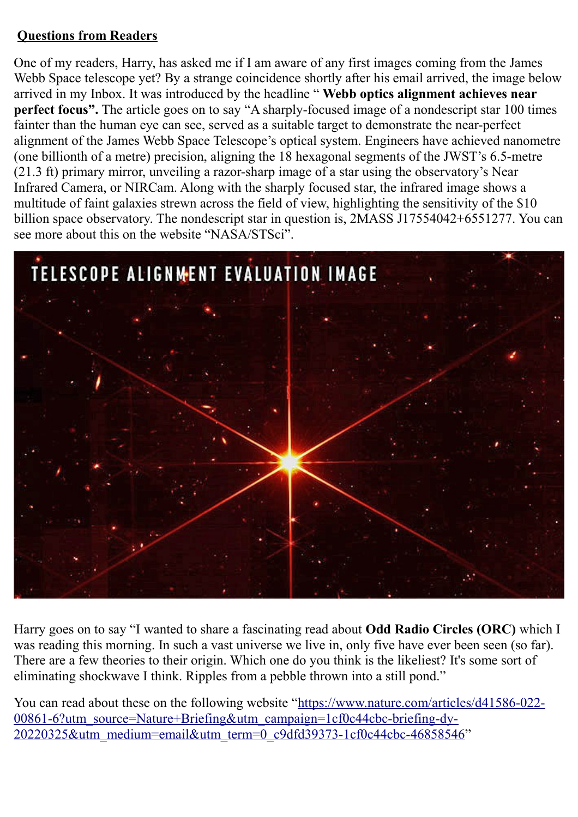# **Questions from Readers**

One of my readers, Harry, has asked me if I am aware of any first images coming from the James Webb Space telescope yet? By a strange coincidence shortly after his email arrived, the image below arrived in my Inbox. It was introduced by the headline " **Webb optics alignment achieves near perfect focus".** The article goes on to say "A sharply-focused image of a nondescript star 100 times fainter than the human eye can see, served as a suitable target to demonstrate the near-perfect alignment of the James Webb Space Telescope's optical system. Engineers have achieved nanometre (one billionth of a metre) precision, aligning the 18 hexagonal segments of the JWST's 6.5-metre (21.3 ft) primary mirror, unveiling a razor-sharp image of a star using the observatory's Near Infrared Camera, or NIRCam. Along with the sharply focused star, the infrared image shows a multitude of faint galaxies strewn across the field of view, highlighting the sensitivity of the \$10 billion space observatory. The nondescript star in question is, 2MASS J17554042+6551277. You can see more about this on the website "NASA/STSci".



Harry goes on to say "I wanted to share a fascinating read about **Odd Radio Circles (ORC)** which I was reading this morning. In such a vast universe we live in, only five have ever been seen (so far). There are a few theories to their origin. Which one do you think is the likeliest? It's some sort of eliminating shockwave I think. Ripples from a pebble thrown into a still pond."

You can read about these on the following website ["https://www.nature.com/articles/d41586-022-](https://www.nature.com/articles/d41586-022-00861-6?utm_source=Nature+Briefing&utm_campaign=1cf0c44cbc-briefing-dy-20220325&utm_medium=email&utm_term=0_c9dfd39373-1cf0c44cbc-46858546) [00861-6?utm\\_source=Nature+Briefing&utm\\_campaign=1cf0c44cbc-briefing-dy-](https://www.nature.com/articles/d41586-022-00861-6?utm_source=Nature+Briefing&utm_campaign=1cf0c44cbc-briefing-dy-20220325&utm_medium=email&utm_term=0_c9dfd39373-1cf0c44cbc-46858546)[20220325&utm\\_medium=email&utm\\_term=0\\_c9dfd39373-1cf0c44cbc-46858546"](https://www.nature.com/articles/d41586-022-00861-6?utm_source=Nature+Briefing&utm_campaign=1cf0c44cbc-briefing-dy-20220325&utm_medium=email&utm_term=0_c9dfd39373-1cf0c44cbc-46858546)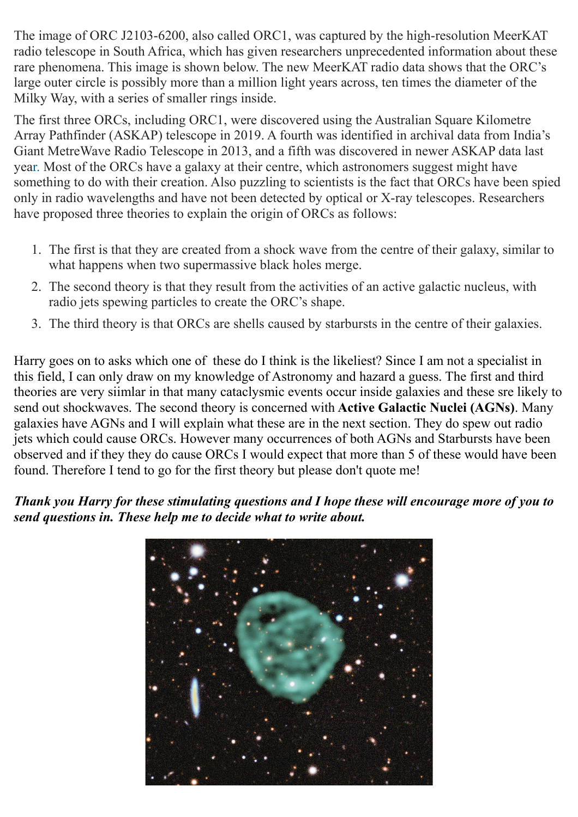The image of ORC J2103-6200, also called ORC1, was captured by the high-resolution MeerKAT radio telescope in South Africa, which has given researchers unprecedented information about these rare phenomena. This image is shown below. The new MeerKAT radio data shows that the ORC's large outer circle is possibly more than a million light years across, ten times the diameter of the Milky Way, with a series of smaller rings inside.

The first three ORCs, including ORC1, were discovered using the Australian Square Kilometre Array Pathfinder (ASKAP) telescope in 2019. A fourth was identified in archival data from India's Giant MetreWave Radio Telescope in 2013, and a fifth was discovered in newer ASKAP data last year. Most of the ORCs have a galaxy at their centre, which astronomers suggest might have something to do with their creation. Also puzzling to scientists is the fact that ORCs have been spied only in radio wavelengths and have not been detected by optical or X-ray telescopes. Researchers have proposed three theories to explain the origin of ORCs as follows:

- 1. The first is that they are created from a shock wave from the centre of their galaxy, similar to what happens when two supermassive black holes merge.
- 2. The second theory is that they result from the activities of an active galactic nucleus, with radio jets spewing particles to create the ORC's shape.
- 3. The third theory is that ORCs are shells caused by starbursts in the centre of their galaxies.

Harry goes on to asks which one of these do I think is the likeliest? Since I am not a specialist in this field, I can only draw on my knowledge of Astronomy and hazard a guess. The first and third theories are very siimlar in that many cataclysmic events occur inside galaxies and these sre likely to send out shockwaves. The second theory is concerned with **Active Galactic Nuclei (AGNs)**. Many galaxies have AGNs and I will explain what these are in the next section. They do spew out radio jets which could cause ORCs. However many occurrences of both AGNs and Starbursts have been observed and if they they do cause ORCs I would expect that more than 5 of these would have been found. Therefore I tend to go for the first theory but please don't quote me!

# *Thank you Harry for these stimulating questions and I hope these will encourage more of you to send questions in. These help me to decide what to write about.*

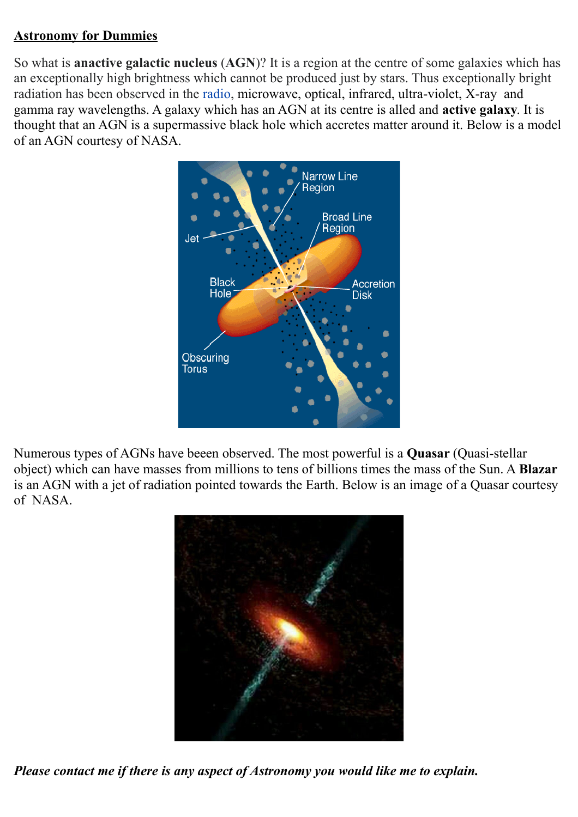### **Astronomy for Dummies**

So what is **anactive galactic nucleus** (**AGN**)? It is a region at the centre of some galaxies which has an exceptionally high brightness which cannot be produced just by stars. Thus exceptionally bright radiation has been observed in the [radio,](https://en.wikipedia.org/wiki/Radio_waves) microwave, optical, infrared, ultra-violet, X-ray and gamma ray wavelengths. A galaxy which has an AGN at its centre is alled and **active galaxy**. It is thought that an AGN is a supermassive black hole which accretes matter around it. Below is a model of an AGN courtesy of NASA.



Numerous types of AGNs have beeen observed. The most powerful is a **Quasar** (Quasi-stellar object) which can have masses from millions to tens of billions times the mass of the Sun. A **Blazar** is an AGN with a jet of radiation pointed towards the Earth. Below is an image of a Quasar courtesy of NASA.



*Please contact me if there is any aspect of Astronomy you would like me to explain.*